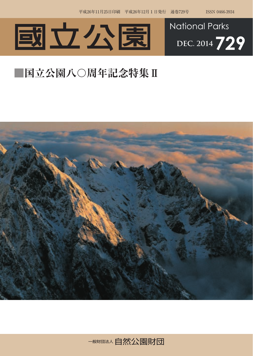



## **■国立公園八〇周年記念特集Ⅱ**